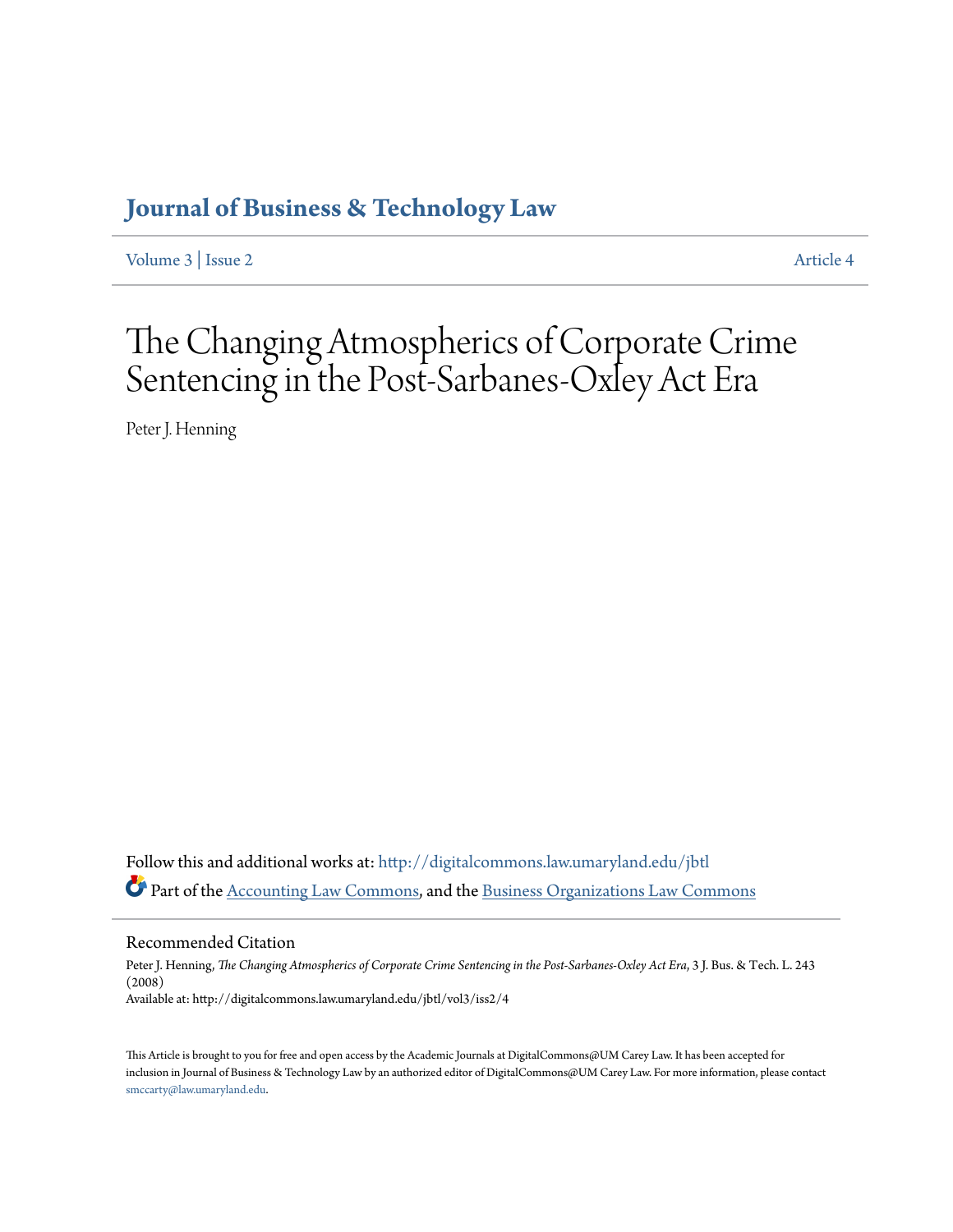## **[Journal of Business & Technology Law](http://digitalcommons.law.umaryland.edu/jbtl?utm_source=digitalcommons.law.umaryland.edu%2Fjbtl%2Fvol3%2Fiss2%2F4&utm_medium=PDF&utm_campaign=PDFCoverPages)**

[Volume 3](http://digitalcommons.law.umaryland.edu/jbtl/vol3?utm_source=digitalcommons.law.umaryland.edu%2Fjbtl%2Fvol3%2Fiss2%2F4&utm_medium=PDF&utm_campaign=PDFCoverPages) | [Issue 2](http://digitalcommons.law.umaryland.edu/jbtl/vol3/iss2?utm_source=digitalcommons.law.umaryland.edu%2Fjbtl%2Fvol3%2Fiss2%2F4&utm_medium=PDF&utm_campaign=PDFCoverPages) [Article 4](http://digitalcommons.law.umaryland.edu/jbtl/vol3/iss2/4?utm_source=digitalcommons.law.umaryland.edu%2Fjbtl%2Fvol3%2Fiss2%2F4&utm_medium=PDF&utm_campaign=PDFCoverPages)

# The Changing Atmospherics of Corporate Crime Sentencing in the Post-Sarbanes-Oxley Act Era

Peter J. Henning

Follow this and additional works at: [http://digitalcommons.law.umaryland.edu/jbtl](http://digitalcommons.law.umaryland.edu/jbtl?utm_source=digitalcommons.law.umaryland.edu%2Fjbtl%2Fvol3%2Fiss2%2F4&utm_medium=PDF&utm_campaign=PDFCoverPages) Part of the [Accounting Law Commons](http://network.bepress.com/hgg/discipline/828?utm_source=digitalcommons.law.umaryland.edu%2Fjbtl%2Fvol3%2Fiss2%2F4&utm_medium=PDF&utm_campaign=PDFCoverPages), and the [Business Organizations Law Commons](http://network.bepress.com/hgg/discipline/900?utm_source=digitalcommons.law.umaryland.edu%2Fjbtl%2Fvol3%2Fiss2%2F4&utm_medium=PDF&utm_campaign=PDFCoverPages)

Recommended Citation

Peter J. Henning, *The Changing Atmospherics of Corporate Crime Sentencing in the Post-Sarbanes-Oxley Act Era*, 3 J. Bus. & Tech. L. 243 (2008) Available at: http://digitalcommons.law.umaryland.edu/jbtl/vol3/iss2/4

This Article is brought to you for free and open access by the Academic Journals at DigitalCommons@UM Carey Law. It has been accepted for inclusion in Journal of Business & Technology Law by an authorized editor of DigitalCommons@UM Carey Law. For more information, please contact [smccarty@law.umaryland.edu.](mailto:smccarty@law.umaryland.edu)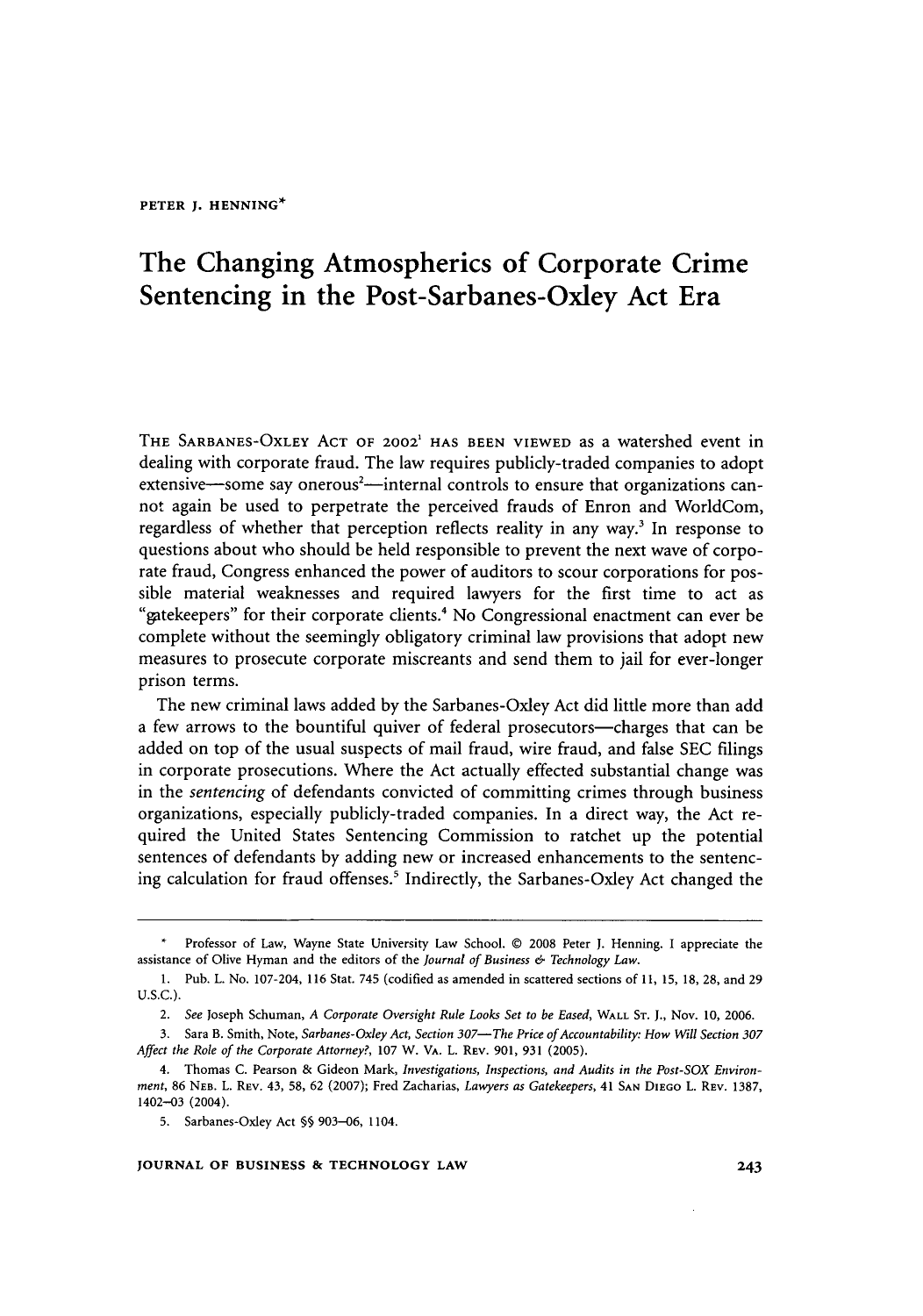### The Changing Atmospherics of Corporate Crime Sentencing in the Post-Sarbanes-Oxley Act Era

THE **SARBANES-OXLEY ACT** OF **2002' HAS BEEN** VIEWED as a watershed event in dealing with corporate fraud. The law requires publicly-traded companies to adopt extensive—some say onerous<sup>2</sup>—internal controls to ensure that organizations cannot again be used to perpetrate the perceived frauds of Enron and WorldCom, regardless of whether that perception reflects reality in any way.<sup>3</sup> In response to questions about who should be held responsible to prevent the next wave of corporate fraud, Congress enhanced the power of auditors to scour corporations for possible material weaknesses and required lawyers for the first time to act as "gatekeepers" for their corporate clients No Congressional enactment can ever be complete without the seemingly obligatory criminal law provisions that adopt new measures to prosecute corporate miscreants and send them to jail for ever-longer prison terms.

The new criminal laws added by the Sarbanes-Oxley Act did little more than add a few arrows to the bountiful quiver of federal prosecutors-charges that can be added on top of the usual suspects of mail fraud, wire fraud, and false SEC filings in corporate prosecutions. Where the Act actually effected substantial change was in the *sentencing* of defendants convicted of committing crimes through business organizations, especially publicly-traded companies. In a direct way, the Act required the United States Sentencing Commission to ratchet up the potential sentences of defendants by adding new or increased enhancements to the sentencing calculation for fraud offenses.<sup>5</sup> Indirectly, the Sarbanes-Oxley Act changed the

#### **JOURNAL OF BUSINESS & TECHNOLOGY LAW**

**I** Professor of Law, Wayne State University Law School. © 2008 Peter J. Henning. I appreciate the assistance of Olive Hyman and the editors of the *Journal of Business & Technology Law.*

<sup>1.</sup> Pub. L. No. 107-204, 116 Stat. 745 (codified as amended in scattered sections of 11, 15, 18, 28, and 29 U.S.C.).

*<sup>2.</sup> See* Joseph Schuman, *A Corporate Oversight Rule Looks Set to be Eased,* WALL **ST. J.,** Nov. **10, 2006.**

<sup>3.</sup> Sara B. Smith, Note, *Sarbanes-Oxley Act, Section 307-The Price of Accountability: How Will Section 307 Affect the Role of the Corporate Attorney?,* 107 W. VA. L. REV. 901, 931 (2005).

<sup>4.</sup> Thomas C. Pearson & Gideon Mark, *Investigations, Inspections, and Audits in the Post-SOX Environment,* 86 **NEB.** L. REV. 43, 58, 62 (2007); Fred Zacharias, *Lawyers as Gatekeepers,* 41 **SAN** DIEGO L. REV. 1387, 1402-03 (2004).

<sup>5.</sup> Sarbanes-Oxley Act §§ 903-06, 1104.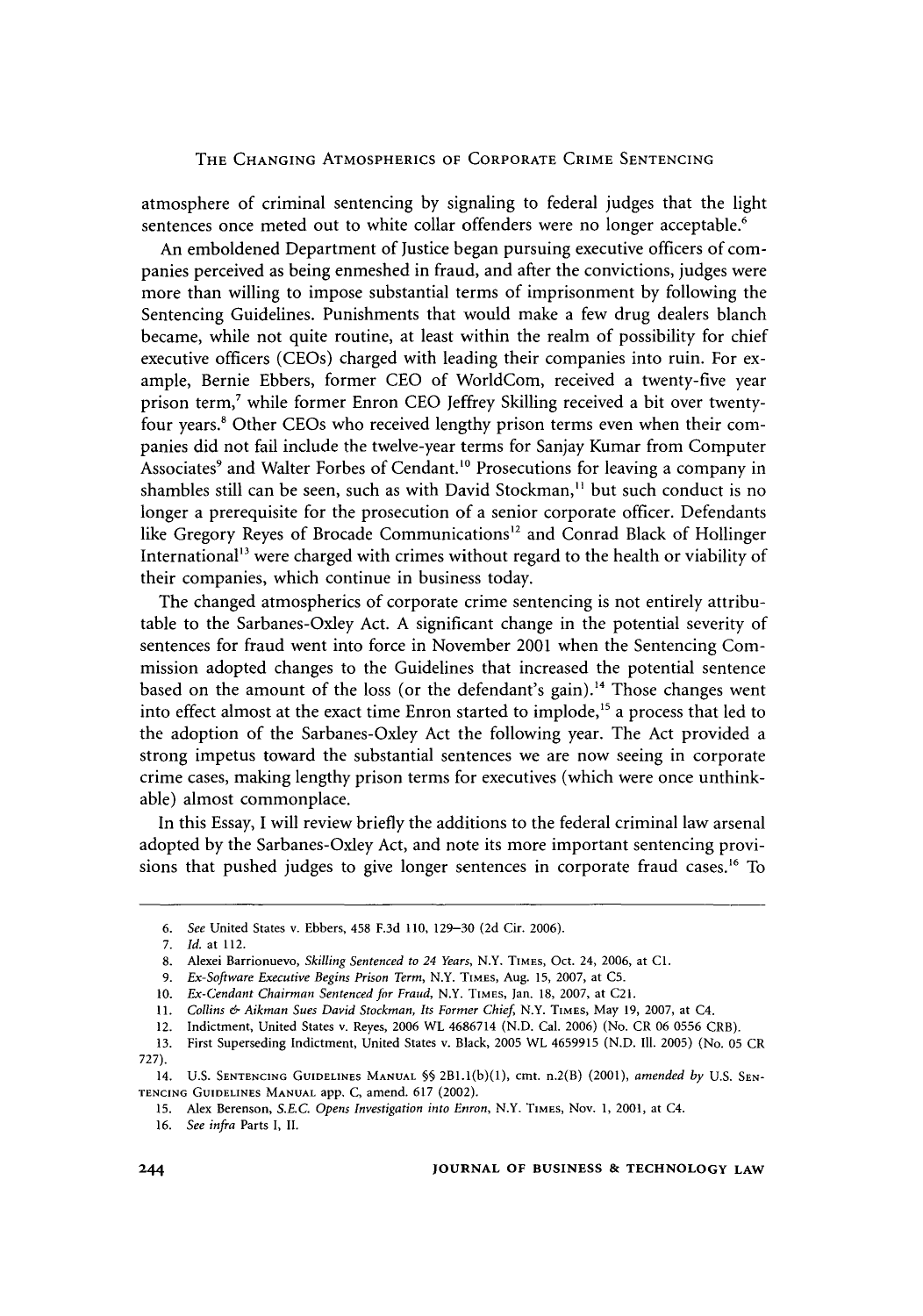atmosphere of criminal sentencing by signaling to federal judges that the light sentences once meted out to white collar offenders were no longer acceptable.<sup>6</sup>

An emboldened Department of Justice began pursuing executive officers of companies perceived as being enmeshed in fraud, and after the convictions, judges were more than willing to impose substantial terms of imprisonment by following the Sentencing Guidelines. Punishments that would make a few drug dealers blanch became, while not quite routine, at least within the realm of possibility for chief executive officers (CEOs) charged with leading their companies into ruin. For example, Bernie Ebbers, former CEO of WorldCom, received a twenty-five year prison term,<sup>7</sup> while former Enron CEO Jeffrey Skilling received a bit over twentyfour years.8 Other CEOs who received lengthy prison terms even when their companies did not fail include the twelve-year terms for Sanjay Kumar from Computer Associates<sup>9</sup> and Walter Forbes of Cendant.<sup>10</sup> Prosecutions for leaving a company in shambles still can be seen, such as with David Stockman,<sup>11</sup> but such conduct is no longer a prerequisite for the prosecution of a senior corporate officer. Defendants like Gregory Reyes of Brocade Communications<sup>12</sup> and Conrad Black of Hollinger International<sup>13</sup> were charged with crimes without regard to the health or viability of their companies, which continue in business today.

The changed atmospherics of corporate crime sentencing is not entirely attributable to the Sarbanes-Oxley Act. A significant change in the potential severity of sentences for fraud went into force in November 2001 when the Sentencing Commission adopted changes to the Guidelines that increased the potential sentence based on the amount of the loss (or the defendant's gain).'" Those changes went into effect almost at the exact time Enron started to implode,<sup>15</sup> a process that led to the adoption of the Sarbanes-Oxley Act the following year. The Act provided a strong impetus toward the substantial sentences we are now seeing in corporate crime cases, making lengthy prison terms for executives (which were once unthinkable) almost commonplace.

In this Essay, I will review briefly the additions to the federal criminal law arsenal adopted by the Sarbanes-Oxley Act, and note its more important sentencing provisions that pushed judges to give longer sentences in corporate fraud cases.<sup>16</sup> To

*<sup>6.</sup> See* United States v. Ebbers, 458 F.3d 110, 129-30 (2d Cir. 2006).

<sup>7.</sup> *Id.* at 112.

<sup>8.</sup> Alexei Barrionuevo, *Skilling Sentenced to 24 Years,* N.Y. TIMES, Oct. 24, 2006, at **Cl.**

**<sup>9.</sup>** *Ex-Software Executive Begins Prison Term,* N.Y. **TIMES,** Aug. 15, 2007, at **C5.**

<sup>10.</sup> *Ex-Cendant Chairman Sentenced for Fraud,* N.Y. TIMES, Jan. 18, 2007, at C21.

<sup>11.</sup> *Collins & Aikman Sues David Stockman, Its Former Chief,* N.Y. TIMES, May 19, 2007, at C4.

<sup>12.</sup> Indictment, United States v. Reyes, 2006 WL 4686714 (N.D. Cal. 2006) (No. CR 06 0556 CRB).

<sup>13.</sup> First Superseding Indictment, United States v. Black, 2005 WL 4659915 (N.D. Ill. 2005) (No. 05 CR 727).

<sup>14.</sup> **U.S. SENTENCING GUIDELINES MANUAL** *§§* 2Bl.(b)(1), cmt. n.2(B) (2001), *amended by* U.S. **SEN-TENCING GUIDELINES MANUAL** app. C, amend. 617 (2002).

<sup>15.</sup> Alex Berenson, *S.E.C. Opens Investigation into Enron,* N.Y. TIMES, Nov. 1, 2001, at C4.

<sup>16.</sup> *See infra* Parts I, II.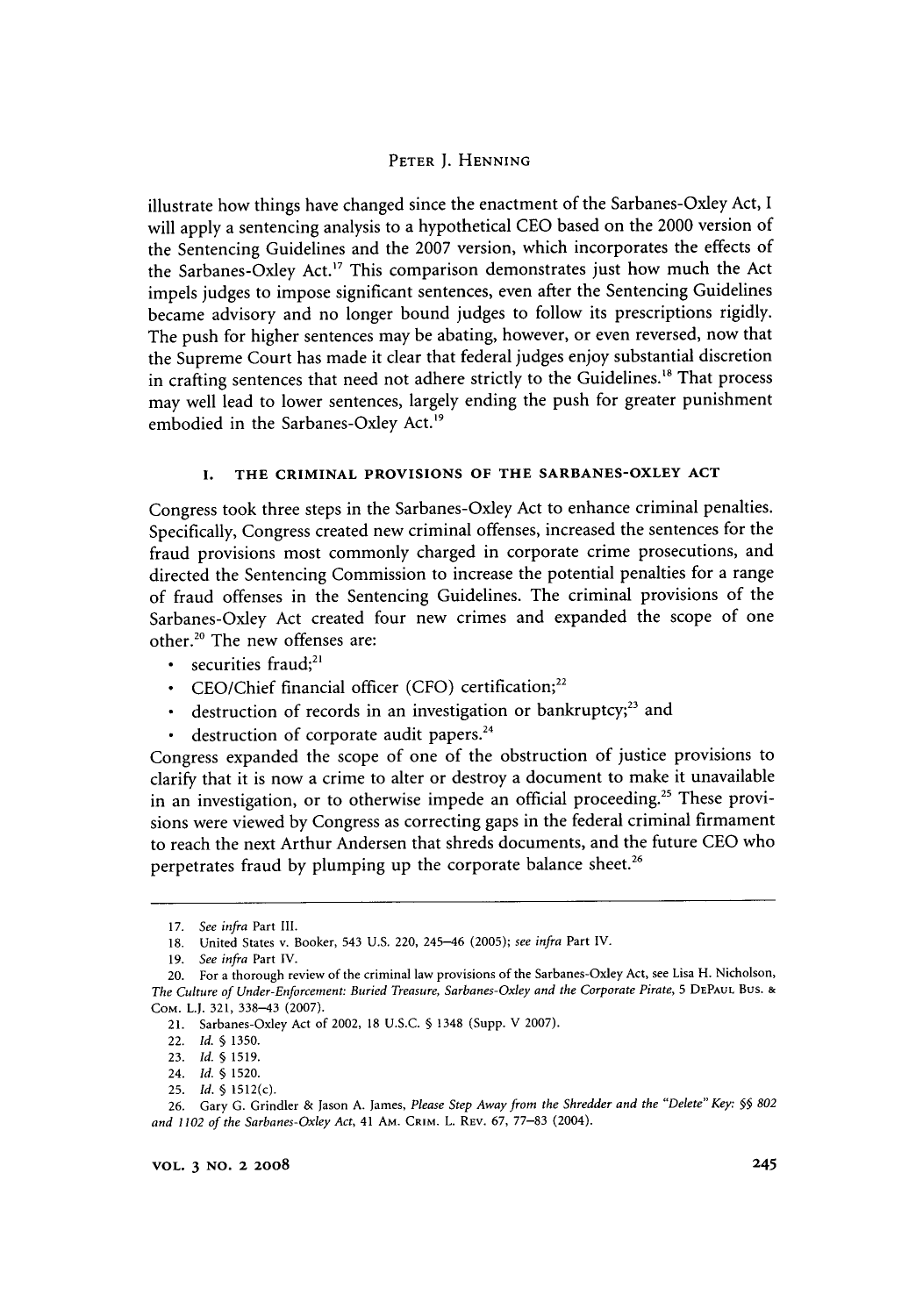illustrate how things have changed since the enactment of the Sarbanes-Oxley Act, I will apply a sentencing analysis to a hypothetical CEO based on the 2000 version of the Sentencing Guidelines and the 2007 version, which incorporates the effects of the Sarbanes-Oxley Act.<sup>17</sup> This comparison demonstrates just how much the Act impels judges to impose significant sentences, even after the Sentencing Guidelines became advisory and no longer bound judges to follow its prescriptions rigidly. The push for higher sentences may be abating, however, or even reversed, now that the Supreme Court has made it clear that federal judges enjoy substantial discretion in crafting sentences that need not adhere strictly to the Guidelines.<sup>18</sup> That process may well lead to lower sentences, largely ending the push for greater punishment embodied in the Sarbanes-Oxley Act.<sup>19</sup>

#### **I.** THE CRIMINAL PROVISIONS OF THE SARBANES-OXLEY **ACT**

Congress took three steps in the Sarbanes-Oxley Act to enhance criminal penalties. Specifically, Congress created new criminal offenses, increased the sentences for the fraud provisions most commonly charged in corporate crime prosecutions, and directed the Sentencing Commission to increase the potential penalties for a range of fraud offenses in the Sentencing Guidelines. The criminal provisions of the Sarbanes-Oxley Act created four new crimes and expanded the scope of one other.<sup>20</sup> The new offenses are:

- $\cdot$  securities fraud;<sup>21</sup>
- \* CEO/Chief financial officer (CFO) certification; <sup>22</sup>
- \* destruction of records in an investigation or bankruptcy;<sup>23</sup> and
- destruction of corporate audit papers.<sup>24</sup>

Congress expanded the scope of one of the obstruction of justice provisions to clarify that it is now a crime to alter or destroy a document to make it unavailable in an investigation, or to otherwise impede an official proceeding.<sup>25</sup> These provisions were viewed by Congress as correcting gaps in the federal criminal firmament to reach the next Arthur Andersen that shreds documents, and the future CEO who perpetrates fraud by plumping up the corporate balance sheet.<sup>26</sup>

<sup>17.</sup> *See infra* Part Ill.

<sup>18.</sup> United States v. Booker, 543 U.S. 220, 245-46 (2005); *see* infra Part IV.

<sup>19.</sup> *See infra* Part IV.

<sup>20.</sup> For a thorough review of the criminal law provisions of the Sarbanes-Oxley Act, see Lisa H. Nicholson, *The Culture of Under-Enforcement: Buried Treasure, Sarbanes-Oxley and the Corporate Pirate,* 5 DEPAUL Bus. & COM. L.J. 321, 338-43 (2007).

<sup>21.</sup> Sarbanes-Oxley Act of 2002, 18 U.S.C. § 1348 (Supp. V 2007).

<sup>22.</sup> *Id. §* 1350.

<sup>23.</sup> *Id. §* 1519.

<sup>24.</sup> *Id.* § 1520.

<sup>25.</sup> *Id.* § 1512(c).

<sup>26.</sup> Gary G. Grindler & Jason A. James, *Please Step Away from the Shredder and the "Delete" Key: §§ 802 and 1102 of the Sarbanes-Oxley Act,* 41 AM. CRIM. L. REv. 67, 77-83 (2004).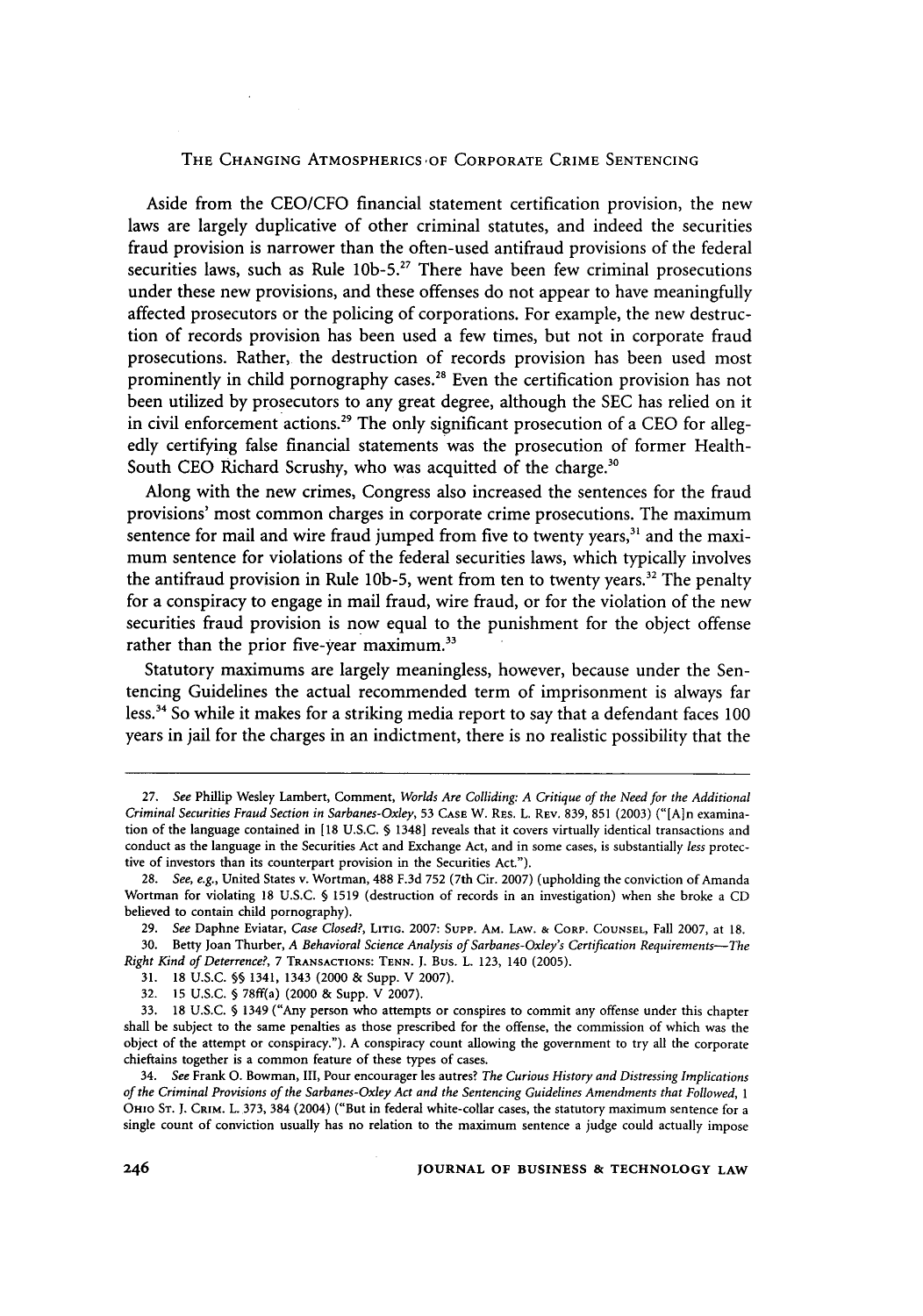Aside from the CEO/CFO financial statement certification provision, the new laws are largely duplicative of other criminal statutes, and indeed the securities fraud provision is narrower than the often-used antifraud provisions of the federal securities laws, such as Rule  $10b-5$ .<sup>27</sup> There have been few criminal prosecutions under these new provisions, and these offenses do not appear to have meaningfully affected prosecutors or the policing of corporations. For example, the new destruction of records provision has been used a few times, but not in corporate fraud prosecutions. Rather, the destruction of records provision has been used most prominently in child pornography cases.<sup>28</sup> Even the certification provision has not been utilized by prosecutors to any great degree, although the SEC has relied on it in civil enforcement actions.<sup>29</sup> The only significant prosecution of a CEO for allegedly certifying false financial statements was the prosecution of former Health-South CEO Richard Scrushy, who was acquitted of the charge.<sup>30</sup>

Along with the new crimes, Congress also increased the sentences for the fraud provisions' most common charges in corporate crime prosecutions. The maximum sentence for mail and wire fraud jumped from five to twenty years, $31$  and the maximum sentence for violations of the federal securities laws, which typically involves the antifraud provision in Rule 10b-5, went from ten to twenty years.<sup>32</sup> The penalty for a conspiracy to engage in mail fraud, wire fraud, or for the violation of the new securities fraud provision is now equal to the punishment for the object offense rather than the prior five-year maximum.<sup>33</sup>

Statutory maximums are largely meaningless, however, because under the Sentencing Guidelines the actual recommended term of imprisonment is always far less.34 So while it makes for a striking media report to say that a defendant faces 100 years in jail for the charges in an indictment, there is no realistic possibility that the

*<sup>27.</sup> See* Phillip Wesley Lambert, Comment, *Worlds Are Colliding: A Critique of the Need for the Additional Criminal Securities Fraud Section in Sarbanes-Oxley,* 53 **CASE** W. RES. L. REV. 839, 851 (2003) ("[A]n examination of the language contained in [18 U.S.C. § 1348] reveals that it covers virtually identical transactions and conduct as the language in the Securities Act and Exchange Act, and in some cases, is substantially *less* protective of investors than its counterpart provision in the Securities Act.").

<sup>28.</sup> *See, e.g.,* United States v. Wortman, 488 F.3d 752 (7th Cir. 2007) (upholding the conviction of Amanda Wortman for violating 18 U.S.C. **§** 1519 (destruction of records in an investigation) when she broke a CD believed to contain child pornography).

<sup>29.</sup> *See* Daphne Eviatar, *Case Closed?,* **LITIG.** 2007: Supp. AM. LAW. **&** CORP. **COUNSEL,** Fall 2007, at **18.** 30. Betty Joan Thurber, *A Behavioral Science Analysis of Sarbanes-Oxley's Certification Requirements-The Right Kind of Deterrence?,* 7 TRANSACTIONS: **TENN. J.** Bus. L. 123, 140 (2005).

<sup>31. 18</sup> U.S.C. **§§** 1341, 1343 (2000 & Supp. V 2007).

<sup>32. 15</sup> U.S.C. **§** 78ff(a) (2000 **&** Supp. V 2007).

<sup>33. 18</sup> U.S.C. § 1349 ("Any person who attempts or conspires to commit any offense under this chapter shall be subject to the same penalties as those prescribed for the offense, the commission of which was the object of the attempt or conspiracy."). A conspiracy count allowing the government to try all the corporate chieftains together is a common feature of these types of cases.

<sup>34.</sup> *See* Frank **0.** Bowman, III, Pour encourager les autres? *The Curious History and Distressing Implications of the Criminal Provisions of the Sarbanes-Oxley Act and the Sentencing Guidelines Amendments that Followed, 1* OHIO **ST. J.** CRIM. L. 373, 384 (2004) ("But in federal white-collar cases, the statutory maximum sentence for a single count of conviction usually has no relation to the maximum sentence a judge could actually impose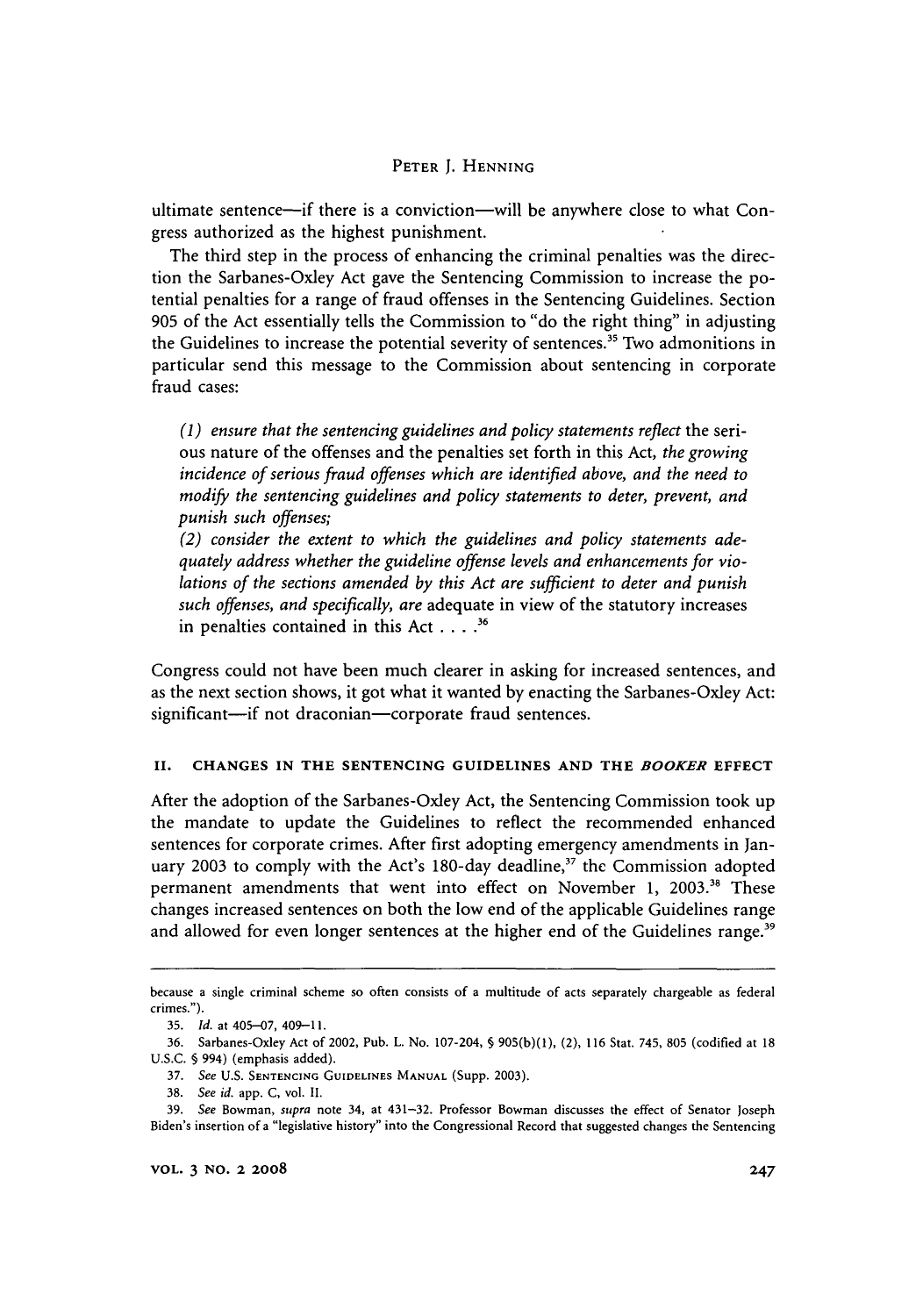ultimate sentence-if there is a conviction-will be anywhere close to what Congress authorized as the highest punishment.

The third step in the process of enhancing the criminal penalties was the direction the Sarbanes-Oxley Act gave the Sentencing Commission to increase the potential penalties for a range of fraud offenses in the Sentencing Guidelines. Section 905 of the Act essentially tells the Commission to "do the right thing" in adjusting the Guidelines to increase the potential severity of sentences.<sup>35</sup> Two admonitions in particular send this message to the Commission about sentencing in corporate fraud cases:

*(1) ensure that the sentencing guidelines and policy statements reflect* the serious nature of the offenses and the penalties set forth in this Act, *the growing incidence of serious fraud offenses which are identified above, and the need to modify the sentencing guidelines and policy statements to deter, prevent, and punish such offenses;*

*(2) consider the extent to which the guidelines and policy statements adequately address whether the guideline offense levels and enhancements for violations of the sections amended by this Act are sufficient to deter and punish such offenses, and specifically, are* adequate in view of the statutory increases in penalties contained in this Act **....36**

Congress could not have been much clearer in asking for increased sentences, and as the next section shows, it got what it wanted by enacting the Sarbanes-Oxley Act: significant-if not draconian-corporate fraud sentences.

#### **II. CHANGES IN THE SENTENCING GUIDELINES AND THE** *BOOKER* **EFFECT**

After the adoption of the Sarbanes-Oxley Act, the Sentencing Commission took up the mandate to update the Guidelines to reflect the recommended enhanced sentences for corporate crimes. After first adopting emergency amendments in January 2003 to comply with the Act's 180-day deadline,<sup>37</sup> the Commission adopted permanent amendments that went into effect on November 1, 2003.<sup>38</sup> These changes increased sentences on both the low end of the applicable Guidelines range and allowed for even longer sentences at the higher end of the Guidelines range.<sup>39</sup>

because a single criminal scheme so often consists of a multitude of acts separately chargeable as federal crimes.").

**<sup>35.</sup>** *Id.* at 405-07, 409-11.

<sup>36.</sup> Sarbanes-Oxley Act of 2002, Pub. L. No. 107-204, **§** 905(b)(1), (2), 116 Stat. 745, 805 (codified at 18 U.S.C. § 994) (emphasis added).

<sup>37.</sup> See U.S. SENTENCING GUIDELINES **MANUAL** (Supp. 2003).

<sup>38.</sup> See *id.* app. C, vol. II.

<sup>39.</sup> See Bowman, supra note 34, at 431-32. Professor Bowman discusses the effect of Senator Joseph Biden's insertion of a "legislative history" into the Congressional Record that suggested changes the Sentencing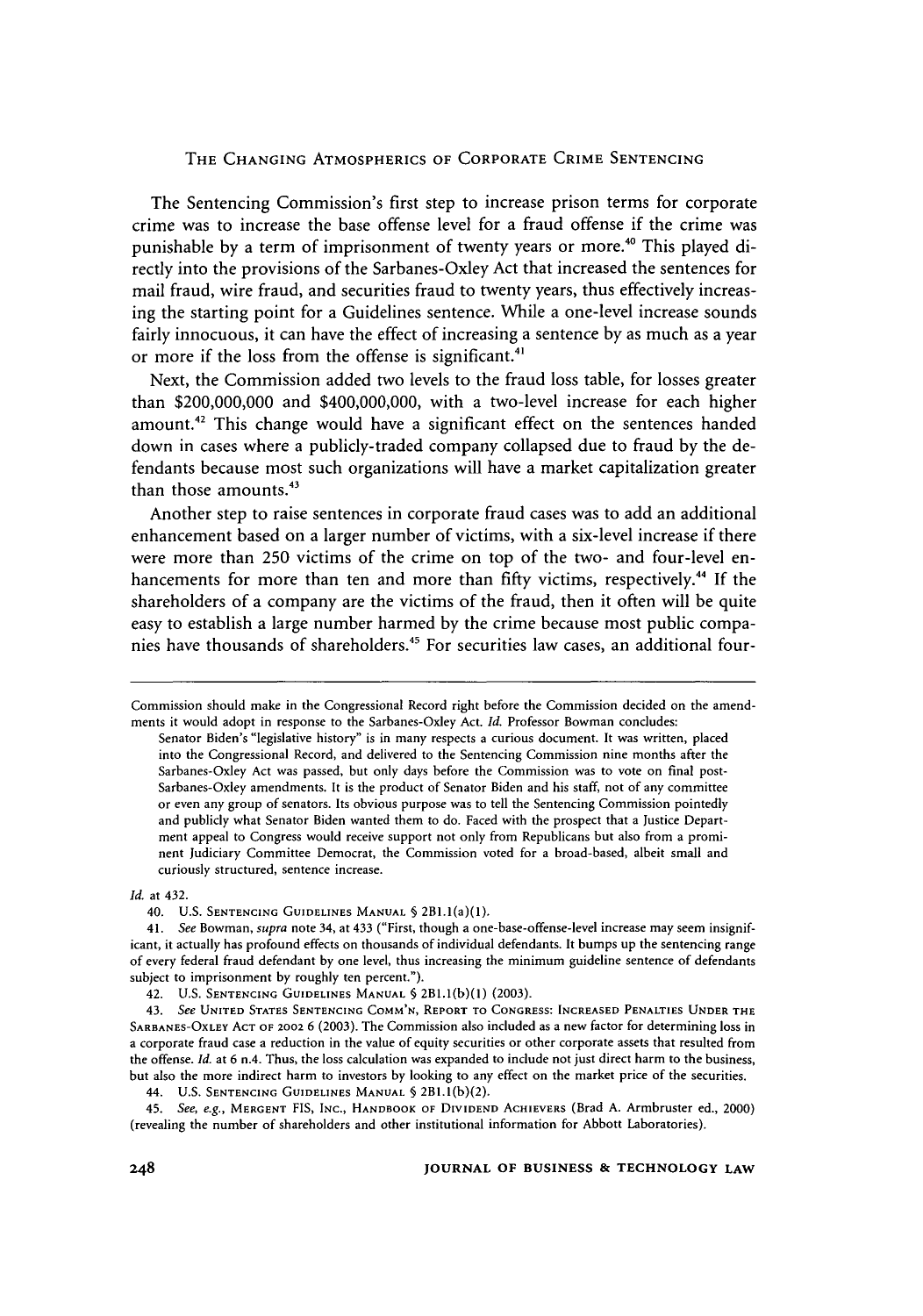The Sentencing Commission's first step to increase prison terms for corporate crime was to increase the base offense level for a fraud offense if the crime was punishable by a term of imprisonment of twenty years or more.<sup>40</sup> This played directly into the provisions of the Sarbanes-Oxley Act that increased the sentences for mail fraud, wire fraud, and securities fraud to twenty years, thus effectively increasing the starting point for a Guidelines sentence. While a one-level increase sounds fairly innocuous, it can have the effect of increasing a sentence by as much as a year or more if the loss from the offense is significant.<sup>4</sup>

Next, the Commission added two levels to the fraud loss table, for losses greater than \$200,000,000 and \$400,000,000, with a two-level increase for each higher amount.<sup>42</sup> This change would have a significant effect on the sentences handed down in cases where a publicly-traded company collapsed due to fraud by the defendants because most such organizations will have a market capitalization greater than those amounts.<sup>43</sup>

Another step to raise sentences in corporate fraud cases was to add an additional enhancement based on a larger number of victims, with a six-level increase if there were more than 250 victims of the crime on top of the two- and four-level enhancements for more than ten and more than fifty victims, respectively.<sup>44</sup> If the shareholders of a company are the victims of the fraud, then it often will be quite easy to establish a large number harmed by the crime because most public companies have thousands of shareholders. 45 For securities law cases, an additional four-

*Id.* at 432.

40. U.S. **SENTENCING** GUIDELINES MANUAL **§** 2Bl.l(a)(1).

Commission should make in the Congressional Record right before the Commission decided on the amendments it would adopt in response to the Sarbanes-Oxley Act. *Id.* Professor Bowman concludes:

Senator Biden's "legislative history" is in many respects a curious document. It was written, placed into the Congressional Record, and delivered to the Sentencing Commission nine months after the Sarbanes-Oxley Act was passed, but only days before the Commission was to vote on final post-Sarbanes-Oxley amendments. It is the product of Senator Biden and his staff, not of any committee or even any group of senators. Its obvious purpose was to tell the Sentencing Commission pointedly and publicly what Senator Biden wanted them to do. Faced with the prospect that a Justice Department appeal to Congress would receive support not only from Republicans but also from a prominent Judiciary Committee Democrat, the Commission voted for a broad-based, albeit small and curiously structured, sentence increase.

<sup>41.</sup> See Bowman, *supra* note 34, at 433 ("First, though a one-base-offense-level increase may seem insignificant, it actually has profound effects on thousands of individual defendants. It bumps up the sentencing range of every federal fraud defendant by one level, thus increasing the minimum guideline sentence of defendants subject to imprisonment by roughly ten percent.").

<sup>42.</sup> U.S. **SENTENCING GUIDELINES** MANUAL **§** 2B.(b)(l) (2003).

<sup>43.</sup> *See* UNITED **STATES SENTENCING COMM'N,** REPORT TO **CONGRESS: INCREASED PENALTIES UNDER** THE **SARBANES-OXLEY ACT** OF 2002 **6** (2003). The Commission also included as a new factor for determining loss in a corporate fraud case a reduction in the value of equity securities or other corporate assets that resulted from the offense. *Id.* at 6 n.4. Thus, the loss calculation was expanded to include not just direct harm to the business, but also the more indirect harm to investors by looking to any effect on the market price of the securities.

<sup>44.</sup> **U.S. SENTENCING GUIDELINES MANUAL** § 2Bl.l(b)(2).

<sup>45.</sup> *See, e.g.,* MERGENT FIS, **INC.,** HANDBOOK OF DIVIDEND ACHIEVERS (Brad A. Armbruster ed., 2000) (revealing the number of shareholders and other institutional information for Abbott Laboratories).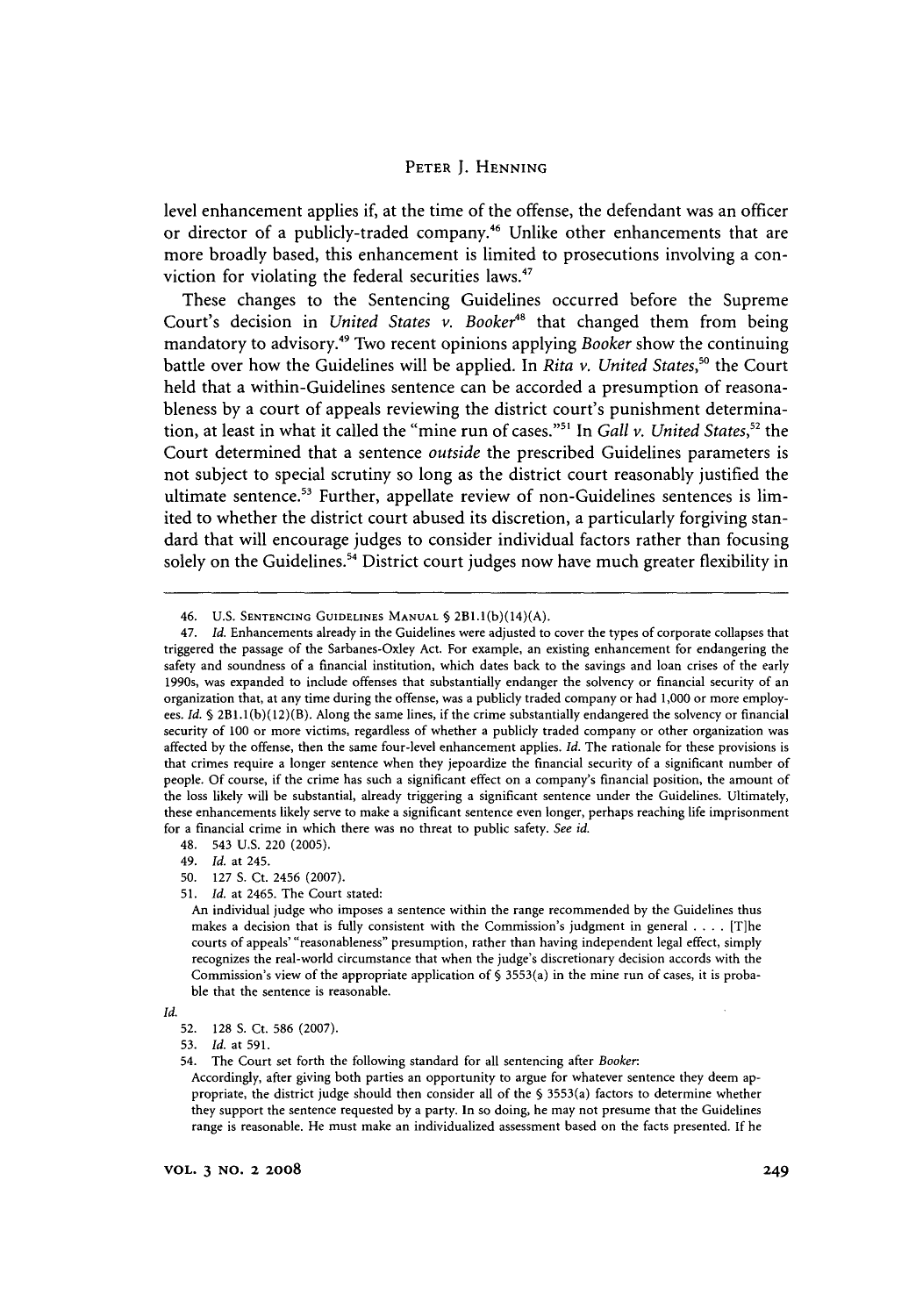level enhancement applies if, at the time of the offense, the defendant was an officer or director of a publicly-traded company.<sup>46</sup> Unlike other enhancements that are more broadly based, this enhancement is limited to prosecutions involving a conviction for violating the federal securities laws.<sup>47</sup>

These changes to the Sentencing Guidelines occurred before the Supreme Court's decision in *United States v. Booker<sup>48</sup>* that changed them from being mandatory to advisory.49 Two recent opinions applying *Booker* show the continuing battle over how the Guidelines will be applied. In *Rita v. United States*,<sup>50</sup> the Court held that a within-Guidelines sentence can be accorded a presumption of reasonableness by a court of appeals reviewing the district court's punishment determination, at least in what it called the "mine run of cases."'" In *Gall v. United States,"2* the Court determined that a sentence *outside* the prescribed Guidelines parameters is not subject to special scrutiny so long as the district court reasonably justified the ultimate sentence.<sup>53</sup> Further, appellate review of non-Guidelines sentences is limited to whether the district court abused its discretion, a particularly forgiving standard that will encourage judges to consider individual factors rather than focusing solely on the Guidelines.<sup>54</sup> District court judges now have much greater flexibility in

48. 543 U.S. 220 (2005).

49. *Id.* at 245.

- 50. **127 S.** Ct. 2456 (2007).
- **51.** *Id.* at 2465. The Court stated:

<sup>46.</sup> U.S. **SENTENCING GUIDELINES MANUAL** *§* 2BI.I(b)(14)(A).

<sup>47.</sup> *Id.* Enhancements already in the Guidelines were adjusted to cover the types of corporate collapses that triggered the passage of the Sarbanes-Oxley Act. For example, an existing enhancement for endangering the safety and soundness of a financial institution, which dates back to the savings and loan crises of the early 1990s, was expanded to include offenses that substantially endanger the solvency or financial security of an organization that, at any time during the offense, was a publicly traded company or had 1,000 or more employees. *Id.* **§** 2B1.1(b)(12)(B). Along the same lines, if the crime substantially endangered the solvency or financial security of 100 or more victims, regardless of whether a publicly traded company or other organization was affected by the offense, then the same four-level enhancement applies. *Id.* The rationale for these provisions is that crimes require a longer sentence when they jepoardize the financial security of a significant number of people. Of course, if the crime has such a significant effect on a company's financial position, the amount of the loss likely will be substantial, already triggering a significant sentence under the Guidelines. Ultimately, these enhancements likely serve to make a significant sentence even longer, perhaps reaching life imprisonment for a financial crime in which there was no threat to public safety. *See id.*

An individual judge who imposes a sentence within the range recommended by the Guidelines thus makes a decision that is fully consistent with the Commission's judgment in general .**. .** .[T]he courts of appeals' "reasonableness" presumption, rather than having independent legal effect, simply recognizes the real-world circumstance that when the judge's discretionary decision accords with the Commission's view of the appropriate application of  $\S$  3553(a) in the mine run of cases, it is probable that the sentence is reasonable.

*Id.*

<sup>52. 128</sup> **S.** Ct. 586 (2007).

<sup>53.</sup> *Id.* at 591.

<sup>54.</sup> The Court set forth the following standard for all sentencing after *Booker.*

Accordingly, after giving both parties an opportunity to argue for whatever sentence they deem appropriate, the district judge should then consider all of the § 3553(a) factors to determine whether they support the sentence requested by a party. In so doing, he may not presume that the Guidelines range is reasonable. He must make an individualized assessment based on the facts presented. If he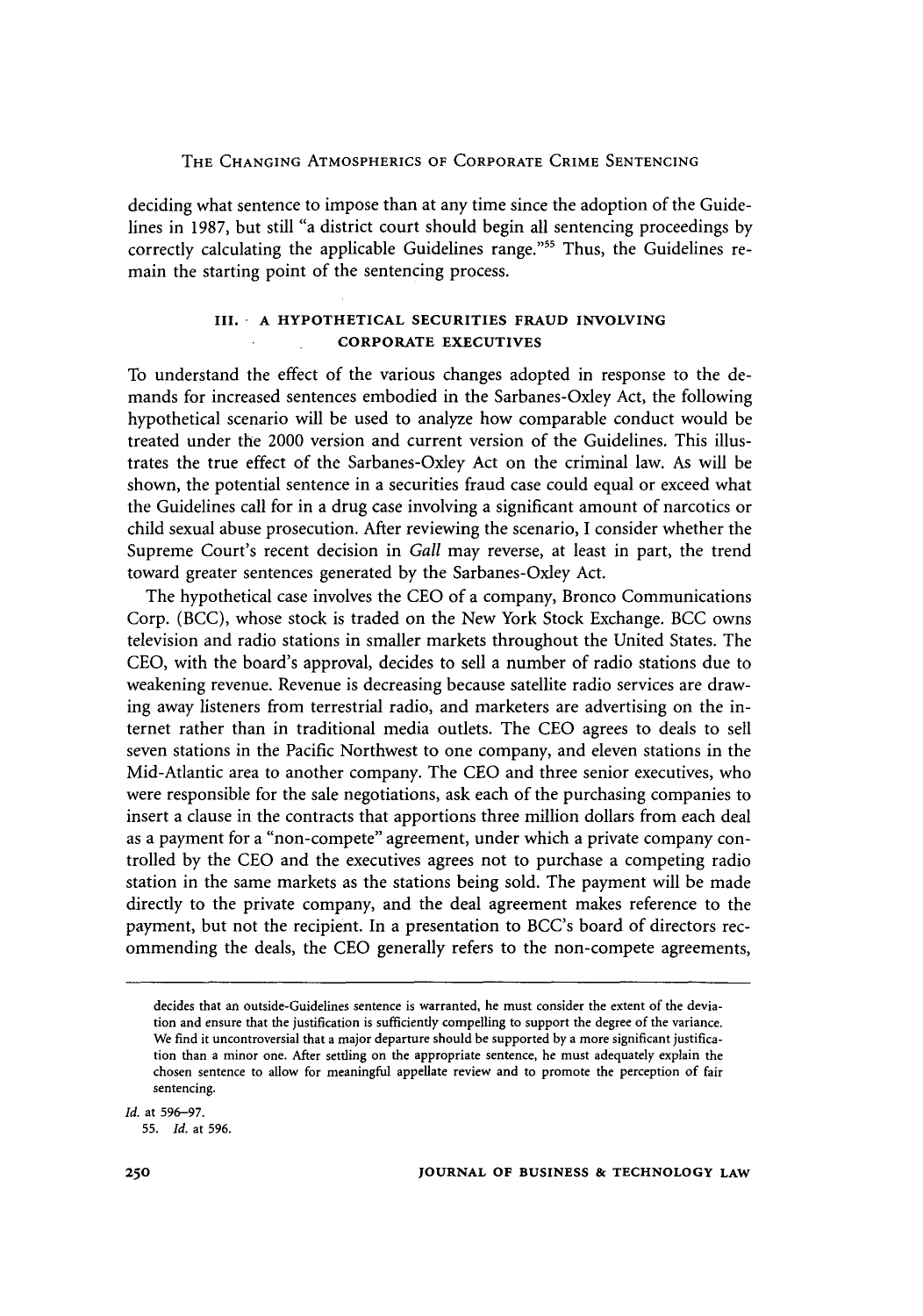deciding what sentence to impose than at any time since the adoption of the Guidelines in 1987, but still "a district court should begin all sentencing proceedings by correctly calculating the applicable Guidelines range."<sup>55</sup> Thus, the Guidelines remain the starting point of the sentencing process.

#### **III. A HYPOTHETICAL SECURITIES FRAUD INVOLVING CORPORATE EXECUTIVES**

To understand the effect of the various changes adopted in response to the demands for increased sentences embodied in the Sarbanes-Oxley Act, the following hypothetical scenario will be used to analyze how comparable conduct would be treated under the 2000 version and current version of the Guidelines. This illustrates the true effect of the Sarbanes-Oxley Act on the criminal law. As will be shown, the potential sentence in a securities fraud case could equal or exceed what the Guidelines call for in a drug case involving a significant amount of narcotics or child sexual abuse prosecution. After reviewing the scenario, I consider whether the Supreme Court's recent decision in *Gall* may reverse, at least in part, the trend toward greater sentences generated by the Sarbanes-Oxley Act.

The hypothetical case involves the CEO of a company, Bronco Communications Corp. (BCC), whose stock is traded on the New York Stock Exchange. BCC owns television and radio stations in smaller markets throughout the United States. The CEO, with the board's approval, decides to sell a number of radio stations due to weakening revenue. Revenue is decreasing because satellite radio services are drawing away listeners from terrestrial radio, and marketers are advertising on the internet rather than in traditional media outlets. The CEO agrees to deals to sell seven stations in the Pacific Northwest to one company, and eleven stations in the Mid-Atlantic area to another company. The CEO and three senior executives, who were responsible for the sale negotiations, ask each of the purchasing companies to insert a clause in the contracts that apportions three million dollars from each deal as a payment for a "non-compete" agreement, under which a private company controlled by the CEO and the executives agrees not to purchase a competing radio station in the same markets as the stations being sold. The payment will be made directly to the private company, and the deal agreement makes reference to the payment, but not the recipient. In a presentation to BCC's board of directors recommending the deals, the CEO generally refers to the non-compete agreements,

*Id.* at 596-97.

decides that an outside-Guidelines sentence is warranted, he must consider the extent of the deviation and ensure that the justification is sufficiently compelling to support the degree of the variance. We find it uncontroversial that a major departure should be supported by a more significant justification than a minor one. After settling on the appropriate sentence, he must adequately explain the chosen sentence to allow for meaningful appellate review and to promote the perception of fair sentencing.

<sup>55.</sup> *Id.* at 596.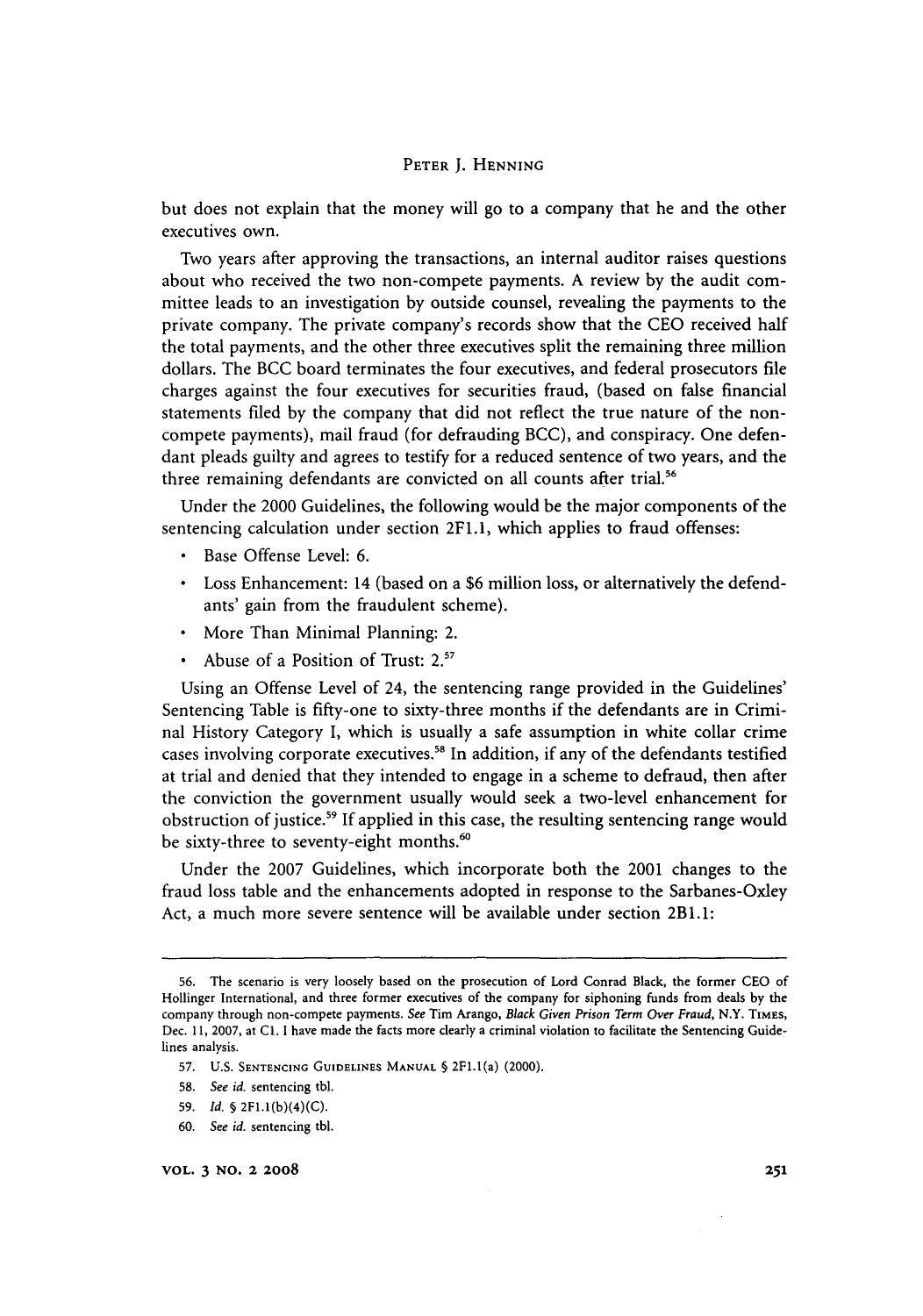but does not explain that the money will go to a company that he and the other executives own.

Two years after approving the transactions, an internal auditor raises questions about who received the two non-compete payments. A review by the audit committee leads to an investigation by outside counsel, revealing the payments to the private company. The private company's records show that the CEO received half the total payments, and the other three executives split the remaining three million dollars. The BCC board terminates the four executives, and federal prosecutors file charges against the four executives for securities fraud, (based on false financial statements fled by the company that did not reflect the true nature of the noncompete payments), mail fraud (for defrauding BCC), and conspiracy. One defendant pleads guilty and agrees to testify for a reduced sentence of two years, and the three remaining defendants are convicted on all counts after trial.<sup>56</sup>

Under the 2000 Guidelines, the following would be the major components of the sentencing calculation under section 2F1.1, which applies to fraud offenses:

- \* Base Offense Level: 6.
- Loss Enhancement: 14 (based on a \$6 million loss, or alternatively the defendants' gain from the fraudulent scheme).
- \* More Than Minimal Planning: 2.
- Abuse of a Position of Trust: 2.<sup>57</sup>

Using an Offense Level of 24, the sentencing range provided in the Guidelines' Sentencing Table is fifty-one to sixty-three months if the defendants are in Criminal History Category I, which is usually a safe assumption in white collar crime cases involving corporate executives.<sup>58</sup> In addition, if any of the defendants testified at trial and denied that they intended to engage in a scheme to defraud, then after the conviction the government usually would seek a two-level enhancement for obstruction of justice.<sup>59</sup> If applied in this case, the resulting sentencing range would be sixty-three to seventy-eight months.<sup>60</sup>

Under the 2007 Guidelines, which incorporate both the 2001 changes to the fraud loss table and the enhancements adopted in response to the Sarbanes-Oxley Act, a much more severe sentence will be available under section 2BI.l:

- **58.** *See id.* sentencing tbl.
- **59.** *Id.* § 2F1.I(b)(4)(C).
- 60. *See id.* sentencing **tbl.**

<sup>56.</sup> The scenario is very loosely based on the prosecution of Lord Conrad Black, the former CEO of Hollinger International, and three former executives of the company for siphoning funds from deals by the company through non-compete payments. See Tim Arango, *Black Given Prison Term Over Fraud,* N.Y. TiMEs, Dec. 11, 2007, at Cl. I have made the facts more clearly a criminal violation to facilitate the Sentencing Guidelines analysis.

**<sup>57.</sup> U.S.** SENTENCING GUIDELINES **MANUAL** § 2F1.1(a) (2000).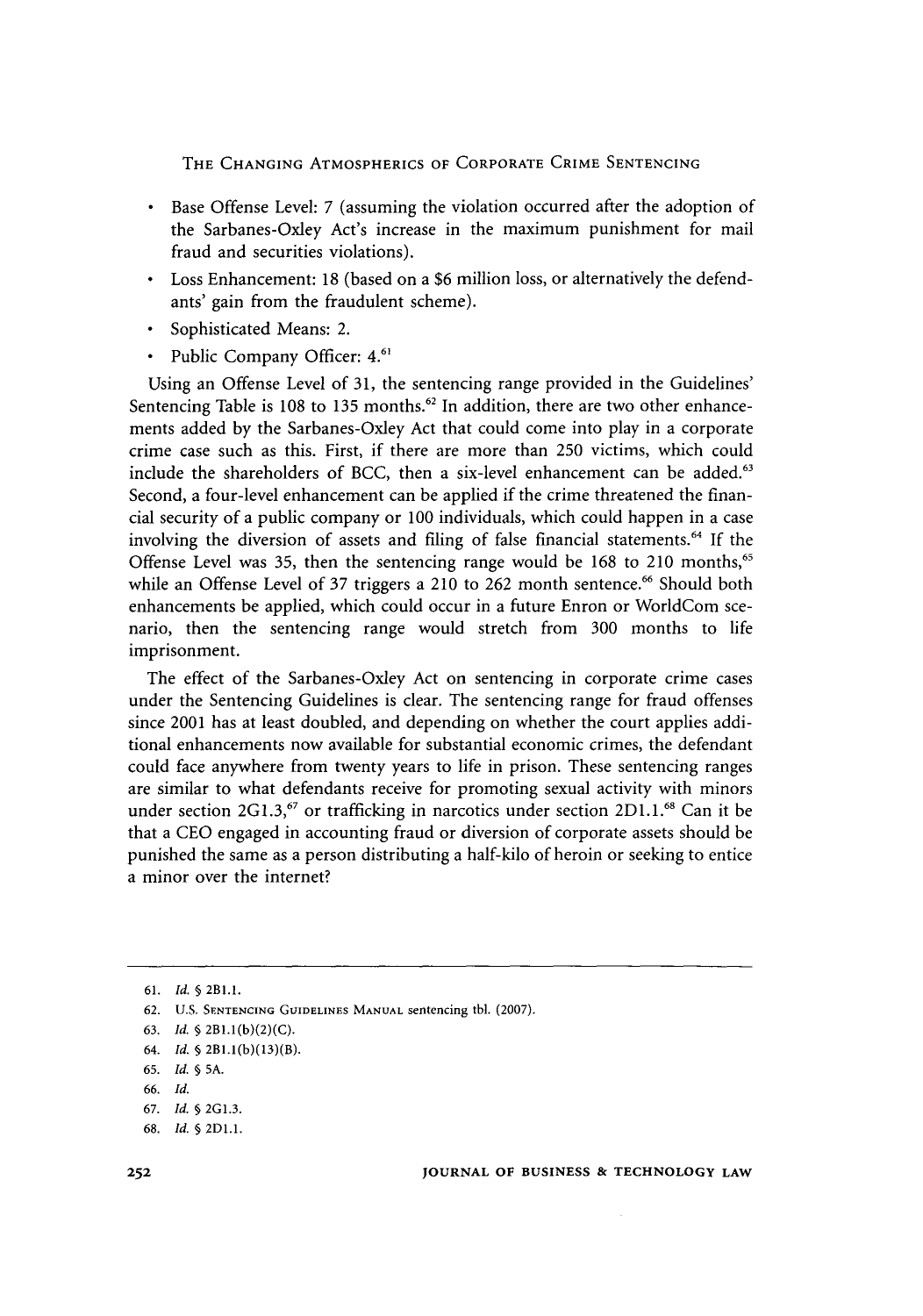- Base Offense Level: 7 (assuming the violation occurred after the adoption of the Sarbanes-Oxley Act's increase in the maximum punishment for mail fraud and securities violations).
- Loss Enhancement: 18 (based on a \$6 million loss, or alternatively the defendants' gain from the fraudulent scheme).
- \* Sophisticated Means: 2.
- Public Company Officer: 4.<sup>61</sup>

Using an Offense Level of 31, the sentencing range provided in the Guidelines' Sentencing Table is 108 to 135 months.<sup>62</sup> In addition, there are two other enhancements added by the Sarbanes-Oxley Act that could come into play in a corporate crime case such as this. First, if there are more than 250 victims, which could include the shareholders of BCC, then a six-level enhancement can be added.<sup>63</sup> Second, a four-level enhancement can be applied if the crime threatened the financial security of a public company or 100 individuals, which could happen in a case involving the diversion of assets and filing of false financial statements.<sup>64</sup> If the Offense Level was 35, then the sentencing range would be 168 to 210 months,<sup>65</sup> while an Offense Level of 37 triggers a 210 to 262 month sentence.<sup>66</sup> Should both enhancements be applied, which could occur in a future Enron or WorldCom scenario, then the sentencing range would stretch from 300 months to life imprisonment.

The effect of the Sarbanes-Oxley Act on sentencing in corporate crime cases under the Sentencing Guidelines is clear. The sentencing range for fraud offenses since 2001 has at least doubled, and depending on whether the court applies additional enhancements now available for substantial economic crimes, the defendant could face anywhere from twenty years to life in prison. These sentencing ranges are similar to what defendants receive for promoting sexual activity with minors under section  $2G1.3$ ,<sup>67</sup> or trafficking in narcotics under section  $2D1.1$ .<sup>68</sup> Can it be that a CEO engaged in accounting fraud or diversion of corporate assets should be punished the same as a person distributing a half-kilo of heroin or seeking to entice a minor over the internet?

**<sup>61,</sup>** *Id.* § **2BI.l.**

<sup>62.</sup> U.S. **SENTENCING** GUIDELINES **MANUAL** sentencing tbl. (2007).

<sup>63.</sup> *Id.* § **2B1.1(b)(2)(C).**

<sup>64.</sup> *Id.* § 2B1.I(b)(13)(B).

**<sup>65.</sup>** *Id.* § **5A.**

<sup>66.</sup> *Id.*

<sup>67.</sup> *Id.* § 2G1.3.

**<sup>68.</sup>** *Id.* § 2D1.1.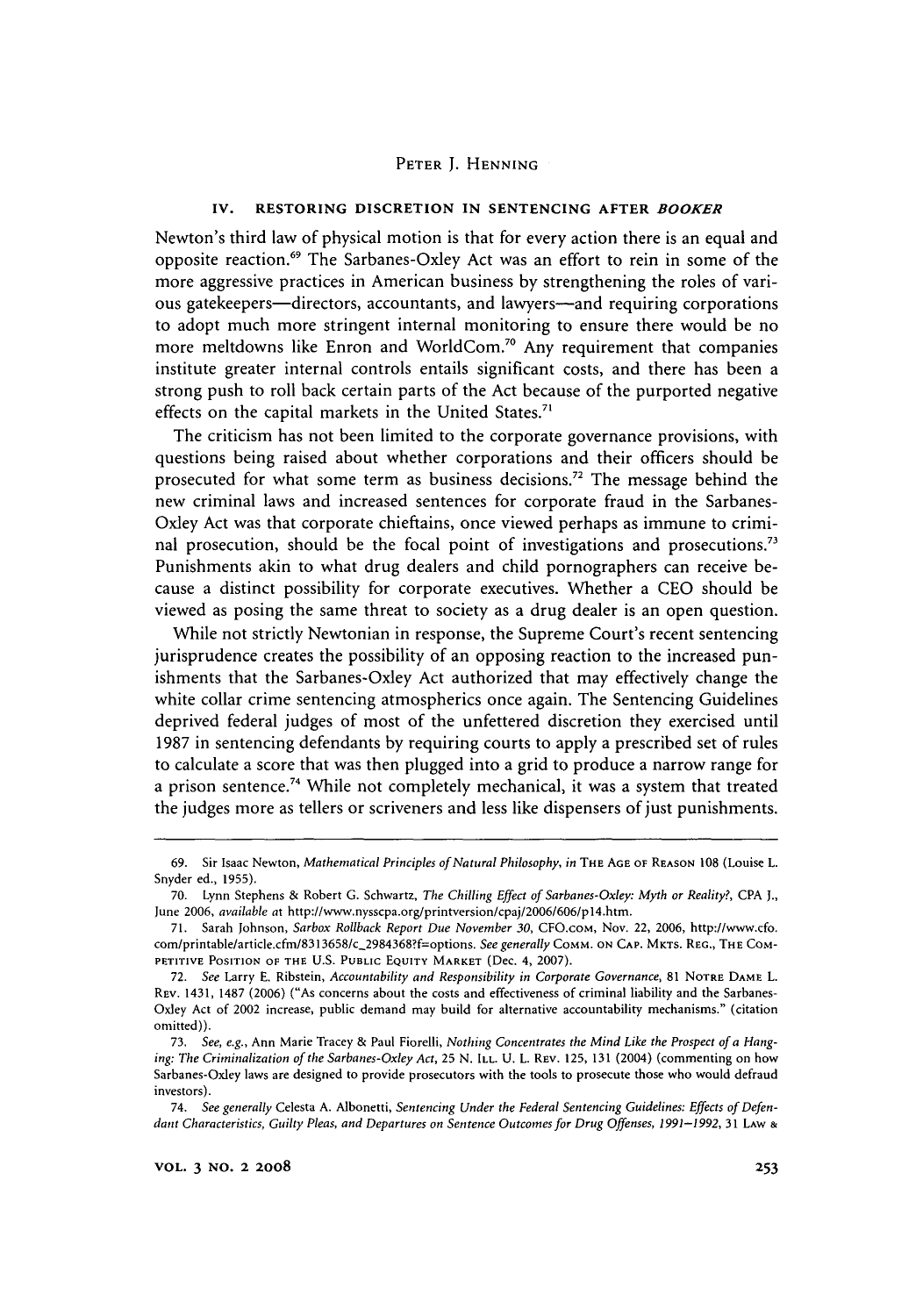#### **IV. RESTORING DISCRETION IN SENTENCING AFTER** *BOOKER*

Newton's third law of physical motion is that for every action there is an equal and opposite reaction.69 The Sarbanes-Oxley Act was an effort to rein in some of the more aggressive practices in American business by strengthening the roles of various gatekeepers-directors, accountants, and lawyers-and requiring corporations to adopt much more stringent internal monitoring to ensure there would be no more meltdowns like Enron and WorldCom.<sup>70</sup> Any requirement that companies institute greater internal controls entails significant costs, and there has been a strong push to roll back certain parts of the Act because of the purported negative effects on the capital markets in the United States.<sup>71</sup>

The criticism has not been limited to the corporate governance provisions, with questions being raised about whether corporations and their officers should be prosecuted for what some term as business decisions." The message behind the new criminal laws and increased sentences for corporate fraud in the Sarbanes-Oxley Act was that corporate chieftains, once viewed perhaps as immune to criminal prosecution, should be the focal point of investigations and prosecutions.<sup>7</sup> Punishments akin to what drug dealers and child pornographers can receive because a distinct possibility for corporate executives. Whether a CEO should be viewed as posing the same threat to society as a drug dealer is an open question.

While not strictly Newtonian in response, the Supreme Court's recent sentencing jurisprudence creates the possibility of an opposing reaction to the increased punishments that the Sarbanes-Oxley Act authorized that may effectively change the white collar crime sentencing atmospherics once again. The Sentencing Guidelines deprived federal judges of most of the unfettered discretion they exercised until 1987 in sentencing defendants by requiring courts to apply a prescribed set of rules to calculate a score that was then plugged into a grid to produce a narrow range for a prison sentence.<sup>74</sup> While not completely mechanical, it was a system that treated the judges more as tellers or scriveners and less like dispensers of just punishments.

<sup>69.</sup> Sir Isaac Newton, *Mathematical Principles of Natural Philosophy, in* THE **AGE** OF **REASON** 108 (Louise L. Snyder ed., 1955).

**<sup>70.</sup>** Lynn Stephens & Robert G. Schwartz, *The Chilling Effect of Sarbanes-Oxley: Myth or Reality?,* CPA J., June 2006, *available at* http://www.nysscpa.org/printversion/cpaj/2006/606/pl4.htm.

<sup>71.</sup> Sarah Johnson, *Sarbox Rollback Report Due November 30,* CFO.coM, Nov. 22, 2006, http://www.cfo. com/printable/article.cfm/8313658/c-2984368?f=options. *See generally* COMM. **ON CAP.** MKTS. REG., THE **COM-**PETITIVE POSITION OF THE U.S. PUBLIC **EQUITY** MARKET (Dec. 4, 2007).

<sup>72.</sup> *See* Larry **E.** Ribstein, *Accountability and Responsibility in Corporate Governance,* **81** NOTRE DAME L. REV. 1431, **1487** (2006) ("As concerns about the costs and effectiveness of criminal liability and the Sarbanes-Oxley Act of 2002 increase, public demand may build for alternative accountability mechanisms." (citation omitted)).

<sup>73.</sup> *See, e.g.,* Ann Marie Tracey & Paul Fiorelli, *Nothing Concentrates the Mind Like the Prospect of a Hanging: The Criminalization of the Sarbanes-Oxley Act,* 25 N. ILL. U. L. REV. 125, 131 (2004) (commenting on how Sarbanes-Oxley laws are designed to provide prosecutors with the tools to prosecute those who would defraud investors).

<sup>74.</sup> *See generally* Celesta A. Albonetti, *Sentencing Under the Federal Sentencing Guidelines: Effects of Defendant Characteristics, Guilty Pleas, and Departures on Sentence Outcomes for Drug Offenses, 1991-1992,* 31 LAW **&**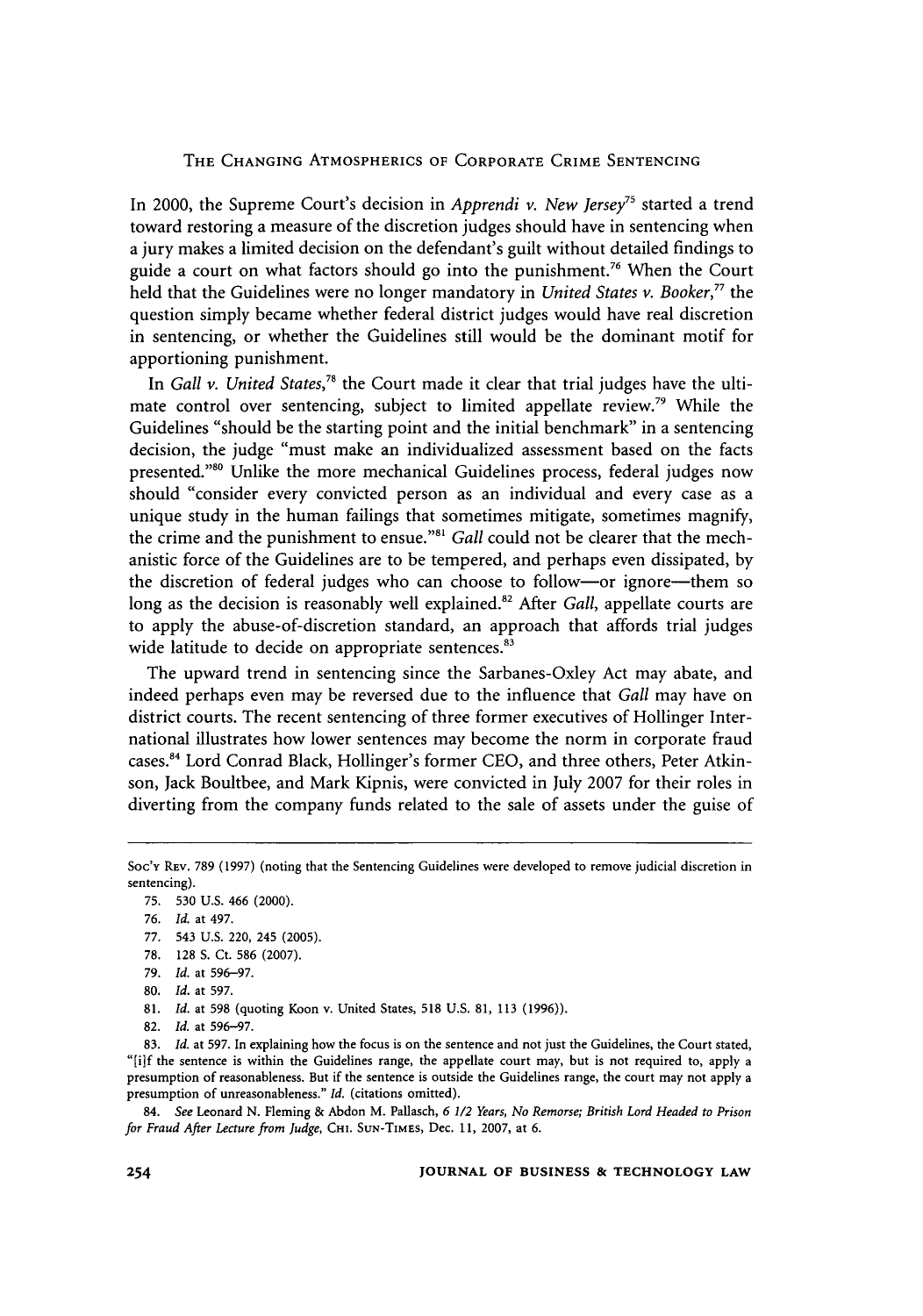In 2000, the Supreme Court's decision in *Apprendi v. New Jersey*<sup>75</sup> started a trend toward restoring a measure of the discretion judges should have in sentencing when a jury makes a limited decision on the defendant's guilt without detailed findings to guide a court on what factors should go into the punishment.<sup>76</sup> When the Court held that the Guidelines were no longer mandatory in *United States v. Booker,"* the question simply became whether federal district judges would have real discretion in sentencing, or whether the Guidelines still would be the dominant motif for apportioning punishment.

In *Gall v. United States*,<sup>78</sup> the Court made it clear that trial judges have the ultimate control over sentencing, subject to limited appellate review.<sup>79</sup> While the Guidelines "should be the starting point and the initial benchmark" in a sentencing decision, the judge "must make an individualized assessment based on the facts presented."<sup>80</sup> Unlike the more mechanical Guidelines process, federal judges now should "consider every convicted person as an individual and every case as a unique study in the human failings that sometimes mitigate, sometimes magnify, the crime and the punishment to ensue."<sup>81</sup> Gall could not be clearer that the mechanistic force of the Guidelines are to be tempered, and perhaps even dissipated, by the discretion of federal judges who can choose to follow-or ignore-them so long as the decision is reasonably well explained.<sup>82</sup> After *Gall*, appellate courts are to apply the abuse-of-discretion standard, an approach that affords trial judges wide latitude to decide on appropriate sentences.<sup>83</sup>

The upward trend in sentencing since the Sarbanes-Oxley Act may abate, and indeed perhaps even may be reversed due to the influence that *Gall* may have on district courts. The recent sentencing of three former executives of Hollinger International illustrates how lower sentences may become the norm in corporate fraud cases.<sup>84</sup> Lord Conrad Black, Hollinger's former CEO, and three others, Peter Atkinson, Jack Boultbee, and Mark Kipnis, were convicted in July 2007 for their roles in diverting from the company funds related to the sale of assets under the guise of

- 81. *Id.* at 598 (quoting Koon v. United States, 518 U.S. 81, 113 (1996)).
- 82. *Id.* at 596-97.

83. *Id.* at 597. In explaining how the focus is on the sentence and not just the Guidelines, the Court stated, "[i]f the sentence is within the Guidelines range, the appellate court may, but is not required to, apply a presumption of reasonableness. But if the sentence is outside the Guidelines range, the court may not apply a presumption of unreasonableness." *Id.* (citations omitted).

84. *See* Leonard N. Fleming & Abdon M. Pallasch, *6 1/2 Years, No Remorse; British Lord Headed to Prison for Fraud After Lecture from Judge,* **CI.** SUN-TIMES, Dec. **11,** 2007, at **6.**

Soc'y REV. 789 (1997) (noting that the Sentencing Guidelines were developed to remove judicial discretion in sentencing).

<sup>75.</sup> **530** U.S. 466 (2000).

<sup>76.</sup> *Id.* at 497.

**<sup>77.</sup>** 543 **U.S.** 220, 245 **(2005).**

<sup>78. 128</sup> S. Ct. 586 (2007).

<sup>79.</sup> *Id.* at 596-97.

<sup>80.</sup> *Id.* at 597.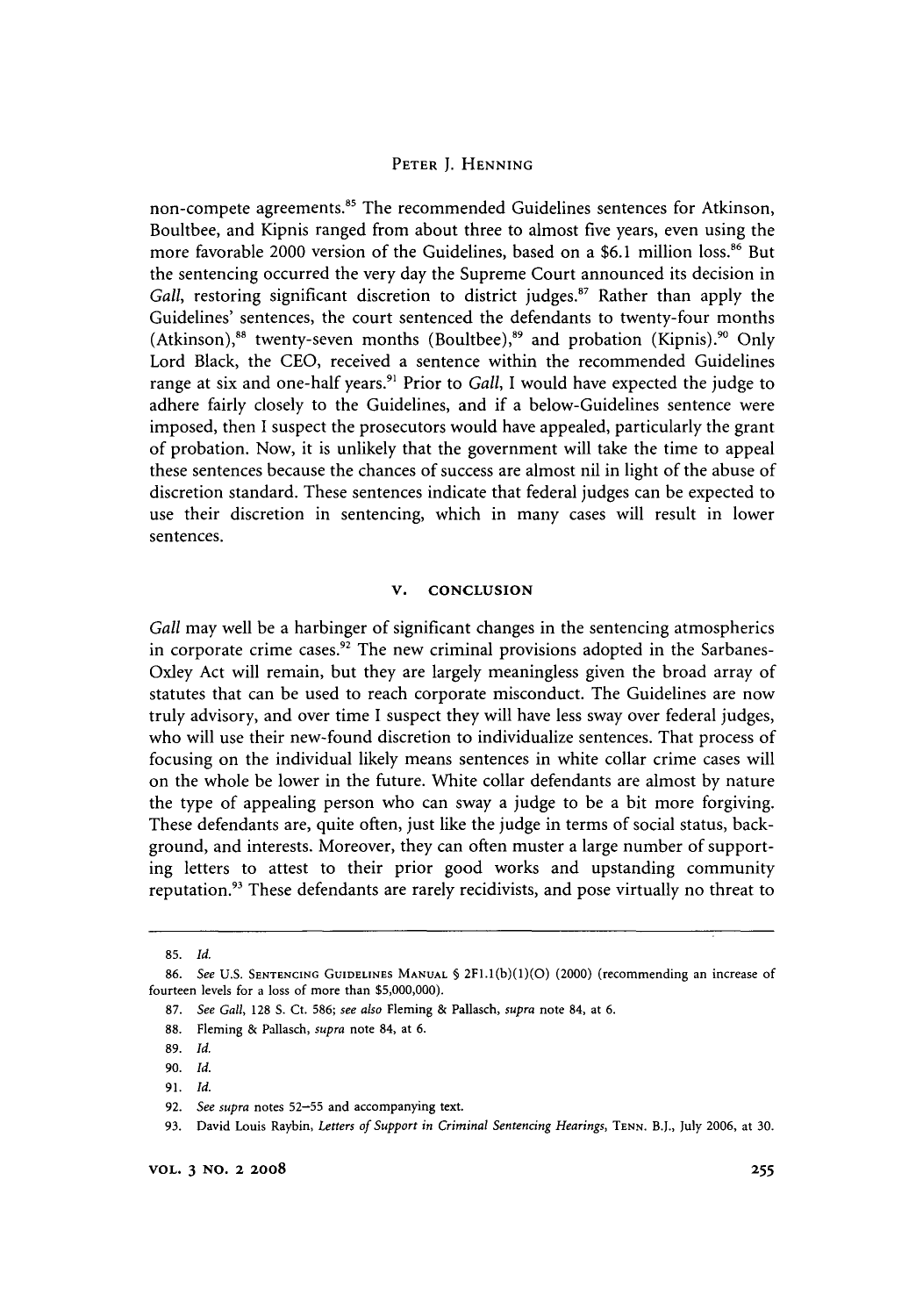non-compete agreements.<sup>85</sup> The recommended Guidelines sentences for Atkinson, Boultbee, and Kipnis ranged from about three to almost five years, even using the more favorable 2000 version of the Guidelines, based on a \$6.1 million loss.<sup>86</sup> But the sentencing occurred the very day the Supreme Court announced its decision in *Gall, restoring significant discretion to district judges.<sup>87</sup> Rather than apply the* Guidelines' sentences, the court sentenced the defendants to twenty-four months (Atkinson),<sup>88</sup> twenty-seven months (Boultbee),<sup>89</sup> and probation (Kipnis).<sup>90</sup> Only Lord Black, the CEO, received a sentence within the recommended Guidelines range at six and one-half years.<sup>91</sup> Prior to *Gall*, I would have expected the judge to adhere fairly closely to the Guidelines, and if a below-Guidelines sentence were imposed, then I suspect the prosecutors would have appealed, particularly the grant of probation. Now, it is unlikely that the government will take the time to appeal these sentences because the chances of success are almost nil in light of the abuse of discretion standard. These sentences indicate that federal judges can be expected to use their discretion in sentencing, which in many cases will result in lower sentences.

#### **V. CONCLUSION**

*Gall* may well be a harbinger of significant changes in the sentencing atmospherics in corporate crime cases.<sup>92</sup> The new criminal provisions adopted in the Sarbanes-Oxley Act will remain, but they are largely meaningless given the broad array of statutes that can be used to reach corporate misconduct. The Guidelines are now truly advisory, and over time I suspect they will have less sway over federal judges, who will use their new-found discretion to individualize sentences. That process of focusing on the individual likely means sentences in white collar crime cases will on the whole be lower in the future. White collar defendants are almost by nature the type of appealing person who can sway a judge to be a bit more forgiving. These defendants are, quite often, just like the judge in terms of social status, background, and interests. Moreover, they can often muster a large number of supporting letters to attest to their prior good works and upstanding community reputation.<sup>93</sup> These defendants are rarely recidivists, and pose virtually no threat to

<sup>85.</sup> *Id.*

<sup>86.</sup> *See* U.S. **SENTENCING** GUIDELINES **MANUAL § 2FI.1(b)(1)(O)** (2000) (recommending an increase of fourteen levels for a loss of more than \$5,000,000).

<sup>87.</sup> *See Gall,* 128 **S.** Ct. 586; *see also* Fleming **&** Pallasch, *supra* note 84, at 6.

<sup>88.</sup> Fleming & Pallasch, *supra* note 84, at 6.

<sup>89.</sup> *Id.*

<sup>90.</sup> *Id.*

**<sup>91.</sup>** *Id.*

<sup>92.</sup> *See supra* notes **52-55** and accompanying text.

<sup>93.</sup> David Louis Raybin, Letters of Support in Criminal Sentencing Hearings, TENN. B.J., July 2006, at 30.